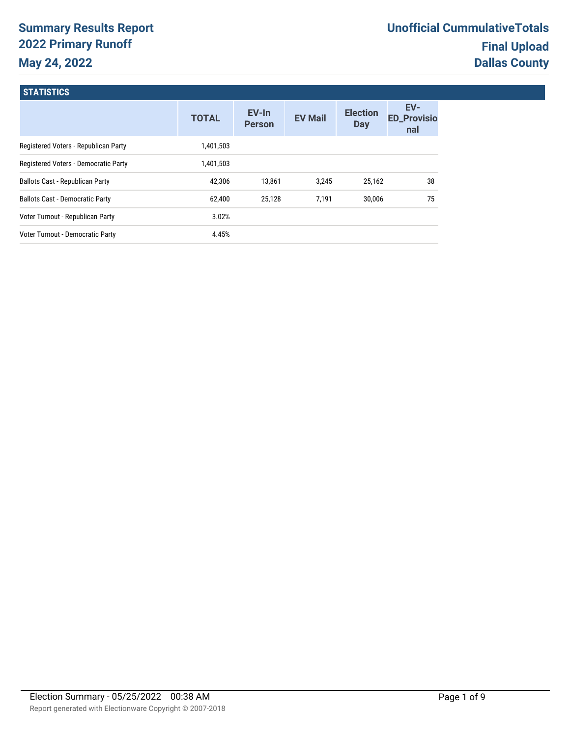# **Summary Results Report 2022 Primary Runoff May 24, 2022**

# **STATISTICS**

|                                        | <b>TOTAL</b> | EV-In<br><b>Person</b> | <b>EV Mail</b> | <b>Election</b><br><b>Day</b> | EV-<br><b>ED_Provisio</b><br>nal |
|----------------------------------------|--------------|------------------------|----------------|-------------------------------|----------------------------------|
| Registered Voters - Republican Party   | 1,401,503    |                        |                |                               |                                  |
| Registered Voters - Democratic Party   | 1,401,503    |                        |                |                               |                                  |
| <b>Ballots Cast - Republican Party</b> | 42.306       | 13.861                 | 3.245          | 25.162                        | 38                               |
| <b>Ballots Cast - Democratic Party</b> | 62,400       | 25.128                 | 7.191          | 30.006                        | 75                               |
| Voter Turnout - Republican Party       | 3.02%        |                        |                |                               |                                  |
| Voter Turnout - Democratic Party       | 4.45%        |                        |                |                               |                                  |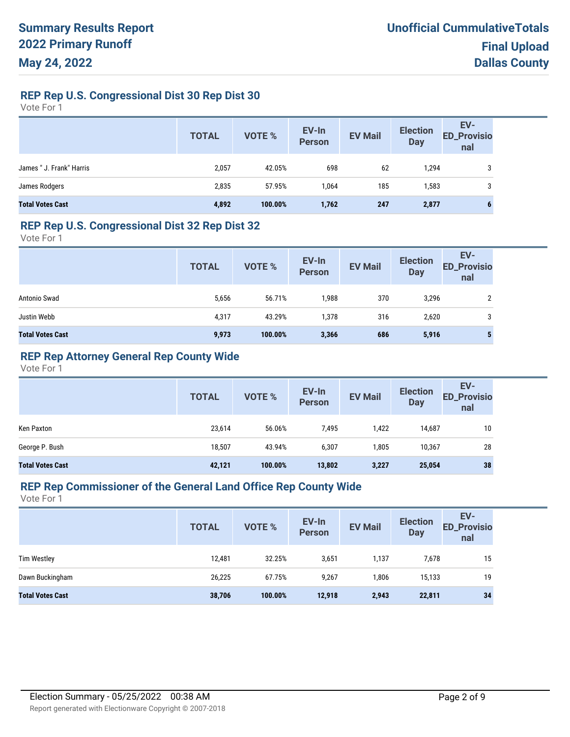# **REP Rep U.S. Congressional Dist 30 Rep Dist 30**

Vote For 1

|                          | <b>TOTAL</b> | VOTE %  | EV-In<br>Person | <b>EV Mail</b> | <b>Election</b><br><b>Day</b> | EV-<br>ED_Provisio<br>nal |
|--------------------------|--------------|---------|-----------------|----------------|-------------------------------|---------------------------|
| James " J. Frank" Harris | 2,057        | 42.05%  | 698             | 62             | 1,294                         | 3                         |
| James Rodgers            | 2,835        | 57.95%  | 1.064           | 185            | 1,583                         | 3                         |
| <b>Total Votes Cast</b>  | 4,892        | 100.00% | 1,762           | 247            | 2,877                         | o                         |

#### **REP Rep U.S. Congressional Dist 32 Rep Dist 32**

Vote For 1

| <b>TOTAL</b> | VOTE %  | EV-In<br><b>Person</b> | <b>EV Mail</b> | <b>Election</b><br><b>Day</b> | EV-<br><b>ED_Provisio</b><br>nal |
|--------------|---------|------------------------|----------------|-------------------------------|----------------------------------|
| 5,656        | 56.71%  | 1,988                  | 370            | 3,296                         |                                  |
| 4,317        | 43.29%  | 1,378                  | 316            | 2,620                         | 3                                |
| 9,973        | 100.00% | 3,366                  | 686            | 5,916                         |                                  |
|              |         |                        |                |                               |                                  |

# **REP Rep Attorney General Rep County Wide**

Vote For 1

|                         | <b>TOTAL</b> | <b>VOTE %</b> | EV-In<br><b>Person</b> | <b>EV Mail</b> | <b>Election</b><br><b>Day</b> | EV-<br><b>ED_Provisio</b><br>nal |
|-------------------------|--------------|---------------|------------------------|----------------|-------------------------------|----------------------------------|
| Ken Paxton              | 23,614       | 56.06%        | 7,495                  | 1,422          | 14,687                        | 10                               |
| George P. Bush          | 18,507       | 43.94%        | 6,307                  | 1.805          | 10.367                        | 28                               |
| <b>Total Votes Cast</b> | 42,121       | 100.00%       | 13,802                 | 3,227          | 25,054                        | 38                               |

# **REP Rep Commissioner of the General Land Office Rep County Wide**

|                         | <b>TOTAL</b> | <b>VOTE %</b> | EV-In<br><b>Person</b> | <b>EV Mail</b> | <b>Election</b><br><b>Day</b> | EV-<br><b>ED_Provisio</b><br>nal |
|-------------------------|--------------|---------------|------------------------|----------------|-------------------------------|----------------------------------|
| <b>Tim Westley</b>      | 12,481       | 32.25%        | 3,651                  | 1,137          | 7,678                         | 15                               |
| Dawn Buckingham         | 26,225       | 67.75%        | 9,267                  | 806,           | 15,133                        | 19                               |
| <b>Total Votes Cast</b> | 38,706       | 100.00%       | 12,918                 | 2,943          | 22,811                        | 34                               |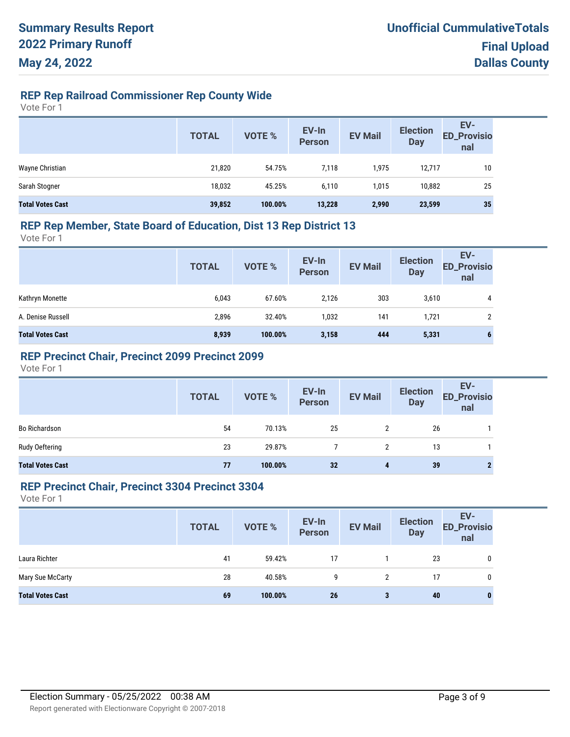# **REP Rep Railroad Commissioner Rep County Wide**

Vote For 1

|                         | <b>TOTAL</b> | VOTE %  | EV-In<br>Person | <b>EV Mail</b> | <b>Election</b><br><b>Day</b> | EV-<br><b>ED_Provisio</b><br>nal |
|-------------------------|--------------|---------|-----------------|----------------|-------------------------------|----------------------------------|
| Wayne Christian         | 21,820       | 54.75%  | 7,118           | 1,975          | 12,717                        | 10                               |
| Sarah Stogner           | 18,032       | 45.25%  | 6,110           | 1,015          | 10,882                        | 25                               |
| <b>Total Votes Cast</b> | 39,852       | 100.00% | 13,228          | 2,990          | 23,599                        | 35                               |

#### **REP Rep Member, State Board of Education, Dist 13 Rep District 13**

Vote For 1

|                         | <b>TOTAL</b> | VOTE %  | EV-In<br>Person | <b>EV Mail</b> | <b>Election</b><br><b>Day</b> | EV-<br><b>ED_Provisio</b><br>nal |
|-------------------------|--------------|---------|-----------------|----------------|-------------------------------|----------------------------------|
| Kathryn Monette         | 6,043        | 67.60%  | 2,126           | 303            | 3,610                         | 4                                |
| A. Denise Russell       | 2,896        | 32.40%  | 1,032           | 141            | 1,721                         |                                  |
| <b>Total Votes Cast</b> | 8,939        | 100.00% | 3,158           | 444            | 5,331                         | o                                |

### **REP Precinct Chair, Precinct 2099 Precinct 2099**

Vote For 1

|                         | <b>TOTAL</b> | VOTE %  | EV-In<br>Person | <b>EV Mail</b>       | <b>Election</b><br>Day | EV-<br>ED_Provisio<br>nal |
|-------------------------|--------------|---------|-----------------|----------------------|------------------------|---------------------------|
| <b>Bo Richardson</b>    | 54           | 70.13%  | 25              | $\mathbf{2}^{\circ}$ | 26                     |                           |
| Rudy Oeftering          | 23           | 29.87%  |                 |                      | 13                     |                           |
| <b>Total Votes Cast</b> | 77           | 100.00% | 32              | 4                    | 39                     |                           |

#### **REP Precinct Chair, Precinct 3304 Precinct 3304**

|                         | <b>TOTAL</b> | <b>VOTE %</b> | EV-In<br>Person | <b>EV Mail</b> | <b>Election</b><br>Day | EV-<br><b>ED_Provisio</b><br>nal |
|-------------------------|--------------|---------------|-----------------|----------------|------------------------|----------------------------------|
| Laura Richter           | 41           | 59.42%        | 17              |                | 23                     | 0                                |
| Mary Sue McCarty        | 28           | 40.58%        | 9               | 2              | 17                     | 0                                |
| <b>Total Votes Cast</b> | 69           | 100.00%       | 26              | 3              | 40                     | o                                |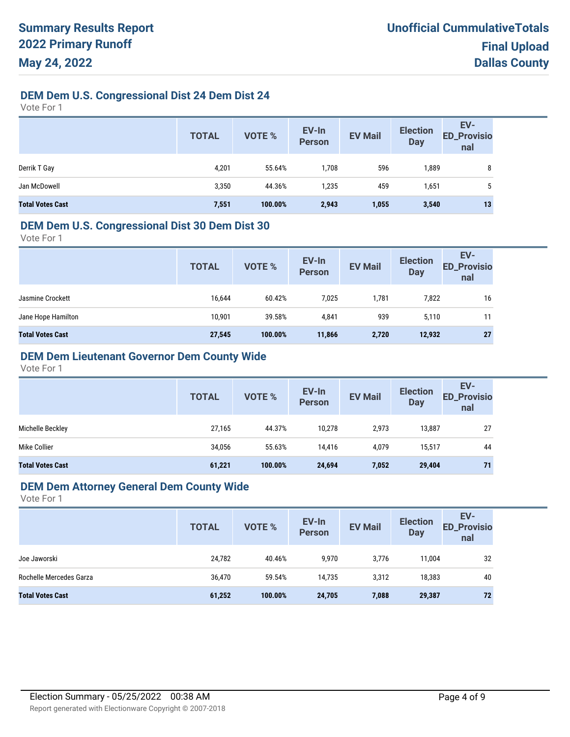# **DEM Dem U.S. Congressional Dist 24 Dem Dist 24**

Vote For 1

|                         | <b>TOTAL</b> | <b>VOTE %</b> | EV-In<br><b>Person</b> | <b>EV Mail</b> | <b>Election</b><br><b>Day</b> | EV-<br>ED_Provisio<br>nal |
|-------------------------|--------------|---------------|------------------------|----------------|-------------------------------|---------------------------|
| Derrik T Gay            | 4,201        | 55.64%        | 708،                   | 596            | 1,889                         | 8                         |
| Jan McDowell            | 3,350        | 44.36%        | 1,235                  | 459            | 1,651                         | 5                         |
| <b>Total Votes Cast</b> | 7,551        | 100.00%       | 2,943                  | 1,055          | 3,540                         | 13                        |

#### **DEM Dem U.S. Congressional Dist 30 Dem Dist 30**

Vote For 1

| <b>TOTAL</b> | <b>VOTE %</b> | EV-In<br><b>Person</b> | <b>EV Mail</b> | <b>Election</b><br><b>Day</b> | EV-<br><b>ED_Provisio</b><br>nal |
|--------------|---------------|------------------------|----------------|-------------------------------|----------------------------------|
| 16,644       | 60.42%        | 7,025                  | 1,781          | 7,822                         | 16                               |
| 10,901       | 39.58%        | 4,841                  | 939            | 5,110                         | 11                               |
| 27,545       | 100.00%       | 11,866                 | 2,720          | 12,932                        | 27                               |
|              |               |                        |                |                               |                                  |

#### **DEM Dem Lieutenant Governor Dem County Wide**

Vote For 1

|                         | <b>TOTAL</b> | VOTE %  | EV-In<br><b>Person</b> | <b>EV Mail</b> | <b>Election</b><br><b>Day</b> | EV-<br><b>ED_Provisio</b><br>nal |
|-------------------------|--------------|---------|------------------------|----------------|-------------------------------|----------------------------------|
| Michelle Beckley        | 27,165       | 44.37%  | 10,278                 | 2,973          | 13,887                        | 27                               |
| Mike Collier            | 34,056       | 55.63%  | 14,416                 | 4,079          | 15,517                        | 44                               |
| <b>Total Votes Cast</b> | 61,221       | 100.00% | 24,694                 | 7,052          | 29,404                        | 71                               |

#### **DEM Dem Attorney General Dem County Wide**

|                         | <b>TOTAL</b> | VOTE %  | EV-In<br>Person | <b>EV Mail</b> | <b>Election</b><br><b>Day</b> | EV-<br><b>ED_Provisio</b><br>nal |
|-------------------------|--------------|---------|-----------------|----------------|-------------------------------|----------------------------------|
| Joe Jaworski            | 24,782       | 40.46%  | 9,970           | 3,776          | 11,004                        | 32                               |
| Rochelle Mercedes Garza | 36,470       | 59.54%  | 14.735          | 3,312          | 18,383                        | 40                               |
| <b>Total Votes Cast</b> | 61,252       | 100.00% | 24,705          | 7,088          | 29,387                        | 72                               |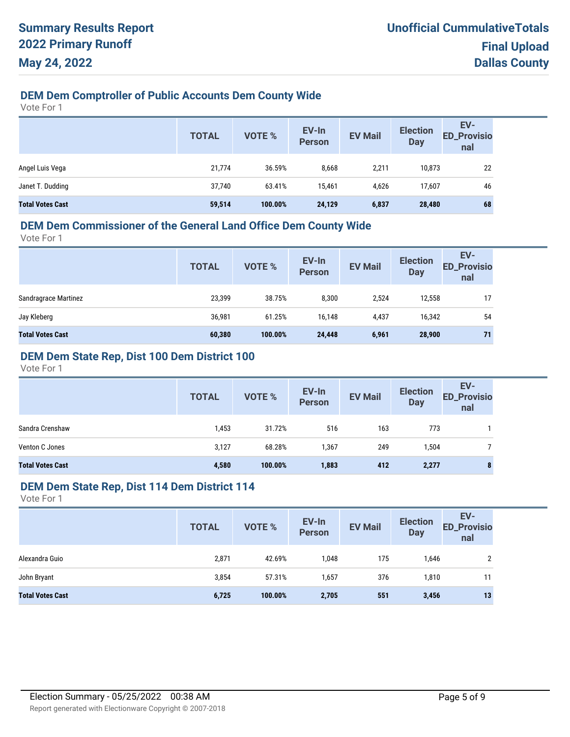# **DEM Dem Comptroller of Public Accounts Dem County Wide**

Vote For 1

|                         | <b>TOTAL</b> | <b>VOTE %</b> | EV-In<br><b>Person</b> | <b>EV Mail</b> | <b>Election</b><br><b>Day</b> | EV-<br>ED_Provisio<br>nal |
|-------------------------|--------------|---------------|------------------------|----------------|-------------------------------|---------------------------|
| Angel Luis Vega         | 21,774       | 36.59%        | 8,668                  | 2,211          | 10,873                        | 22                        |
| Janet T. Dudding        | 37,740       | 63.41%        | 15,461                 | 4,626          | 17,607                        | 46                        |
| <b>Total Votes Cast</b> | 59,514       | 100.00%       | 24,129                 | 6,837          | 28,480                        | 68                        |

#### **DEM Dem Commissioner of the General Land Office Dem County Wide**

Vote For 1

| <b>TOTAL</b> | VOTE %  | EV-In<br><b>Person</b> | <b>EV Mail</b> | <b>Election</b><br><b>Day</b> | EV-<br><b>ED_Provisio</b><br>nal |
|--------------|---------|------------------------|----------------|-------------------------------|----------------------------------|
| 23,399       | 38.75%  | 8,300                  | 2,524          | 12,558                        | 17                               |
| 36,981       | 61.25%  | 16,148                 | 4,437          | 16,342                        | 54                               |
| 60,380       | 100.00% | 24,448                 | 6,961          | 28,900                        | 71                               |
|              |         |                        |                |                               |                                  |

# **DEM Dem State Rep, Dist 100 Dem District 100**

Vote For 1

|                         | <b>TOTAL</b> | VOTE %  | EV-In<br><b>Person</b> | <b>EV Mail</b> | <b>Election</b><br><b>Day</b> | EV-<br><b>ED_Provisio</b><br>nal |
|-------------------------|--------------|---------|------------------------|----------------|-------------------------------|----------------------------------|
| Sandra Crenshaw         | 1,453        | 31.72%  | 516                    | 163            | 773                           |                                  |
| Venton C Jones          | 3,127        | 68.28%  | 1,367                  | 249            | 1,504                         |                                  |
| <b>Total Votes Cast</b> | 4,580        | 100.00% | 1,883                  | 412            | 2,277                         | 8                                |

# **DEM Dem State Rep, Dist 114 Dem District 114**

|                         | <b>TOTAL</b> | VOTE %  | EV-In<br>Person | <b>EV Mail</b> | <b>Election</b><br><b>Day</b> | EV-<br><b>ED_Provisio</b><br>nal |
|-------------------------|--------------|---------|-----------------|----------------|-------------------------------|----------------------------------|
| Alexandra Guio          | 2,871        | 42.69%  | 1,048           | 175            | 1,646                         |                                  |
| John Bryant             | 3,854        | 57.31%  | 1,657           | 376            | 1,810                         | 11                               |
| <b>Total Votes Cast</b> | 6,725        | 100.00% | 2,705           | 551            | 3,456                         | 13                               |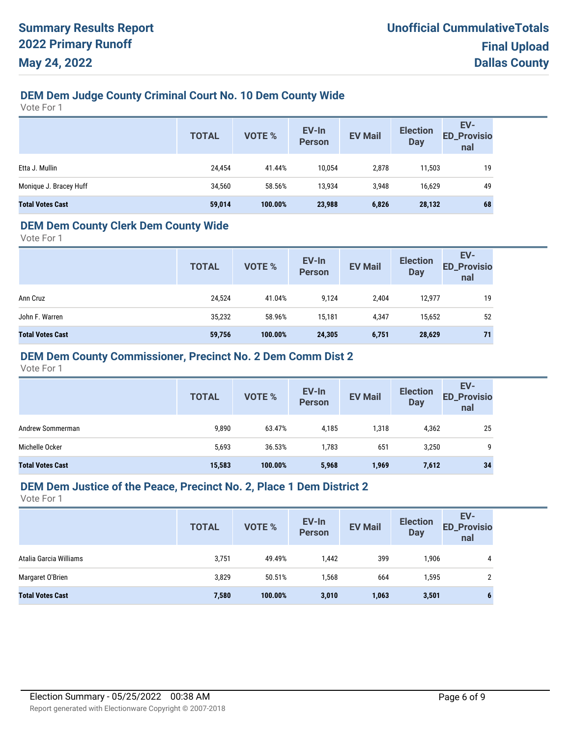# **DEM Dem Judge County Criminal Court No. 10 Dem County Wide**

Vote For 1

|                         | <b>TOTAL</b> | VOTE %  | EV-In<br><b>Person</b> | <b>EV Mail</b> | <b>Election</b><br><b>Day</b> | EV-<br><b>ED_Provisio</b><br>nal |
|-------------------------|--------------|---------|------------------------|----------------|-------------------------------|----------------------------------|
| Etta J. Mullin          | 24,454       | 41.44%  | 10,054                 | 2,878          | 11,503                        | 19                               |
| Monique J. Bracey Huff  | 34,560       | 58.56%  | 13,934                 | 3,948          | 16,629                        | 49                               |
| <b>Total Votes Cast</b> | 59,014       | 100.00% | 23,988                 | 6,826          | 28,132                        | 68                               |

#### **DEM Dem County Clerk Dem County Wide**

Vote For 1

|                         | <b>TOTAL</b> | <b>VOTE %</b> | EV-In<br><b>Person</b> | <b>EV Mail</b> | <b>Election</b><br><b>Day</b> | EV-<br><b>ED_Provisio</b><br>nal |
|-------------------------|--------------|---------------|------------------------|----------------|-------------------------------|----------------------------------|
| Ann Cruz                | 24,524       | 41.04%        | 9,124                  | 2,404          | 12,977                        | 19                               |
| John F. Warren          | 35,232       | 58.96%        | 15,181                 | 4,347          | 15,652                        | 52                               |
| <b>Total Votes Cast</b> | 59,756       | 100.00%       | 24,305                 | 6,751          | 28,629                        | 71                               |

#### **DEM Dem County Commissioner, Precinct No. 2 Dem Comm Dist 2**

Vote For 1

|                         | <b>TOTAL</b> | <b>VOTE %</b> | EV-In<br><b>Person</b> | <b>EV Mail</b> | <b>Election</b><br><b>Day</b> | EV-<br><b>ED_Provisio</b><br>nal |
|-------------------------|--------------|---------------|------------------------|----------------|-------------------------------|----------------------------------|
| Andrew Sommerman        | 9,890        | 63.47%        | 4,185                  | 1,318          | 4,362                         | 25                               |
| Michelle Ocker          | 5,693        | 36.53%        | 1,783                  | 651            | 3,250                         | 9                                |
| <b>Total Votes Cast</b> | 15,583       | 100.00%       | 5,968                  | 1,969          | 7,612                         | 34                               |

#### **DEM Dem Justice of the Peace, Precinct No. 2, Place 1 Dem District 2**

|                         | <b>TOTAL</b> | <b>VOTE %</b> | EV-In<br><b>Person</b> | <b>EV Mail</b> | <b>Election</b><br><b>Day</b> | EV-<br><b>ED_Provisio</b><br>nal |
|-------------------------|--------------|---------------|------------------------|----------------|-------------------------------|----------------------------------|
| Atalia Garcia Williams  | 3,751        | 49.49%        | 1,442                  | 399            | 1,906                         | 4                                |
| Margaret O'Brien        | 3,829        | 50.51%        | 1,568                  | 664            | 1,595                         |                                  |
| <b>Total Votes Cast</b> | 7,580        | 100.00%       | 3,010                  | 1,063          | 3,501                         |                                  |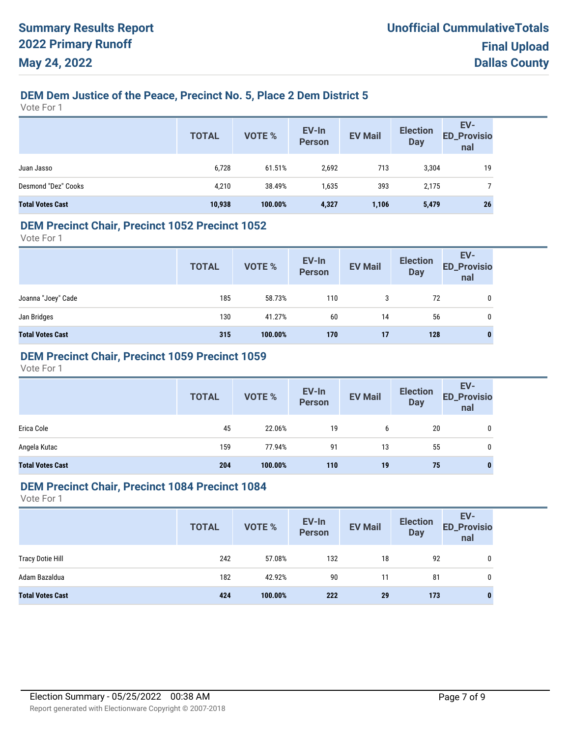# **DEM Dem Justice of the Peace, Precinct No. 5, Place 2 Dem District 5**

Vote For 1

|                         | <b>TOTAL</b> | <b>VOTE %</b> | EV-In<br>Person | <b>EV Mail</b> | <b>Election</b><br><b>Day</b> | EV-<br>ED_Provisio<br>nal |
|-------------------------|--------------|---------------|-----------------|----------------|-------------------------------|---------------------------|
| Juan Jasso              | 6,728        | 61.51%        | 2,692           | 713            | 3,304                         | 19                        |
| Desmond "Dez" Cooks     | 4,210        | 38.49%        | 1,635           | 393            | 2,175                         |                           |
| <b>Total Votes Cast</b> | 10,938       | 100.00%       | 4,327           | 1,106          | 5,479                         | 26                        |

#### **DEM Precinct Chair, Precinct 1052 Precinct 1052**

Vote For 1

|                         | <b>TOTAL</b> | VOTE %  | EV-In<br>Person | <b>EV Mail</b> | <b>Election</b><br><b>Day</b> | EV-<br>ED_Provisio<br>nal |
|-------------------------|--------------|---------|-----------------|----------------|-------------------------------|---------------------------|
| Joanna "Joey" Cade      | 185          | 58.73%  | 110             | 3              | 72                            | 0                         |
| Jan Bridges             | 130          | 41.27%  | 60              | 14             | 56                            | $\mathbf{0}$              |
| <b>Total Votes Cast</b> | 315          | 100.00% | 170             | 17             | 128                           | $\bf{0}$                  |

### **DEM Precinct Chair, Precinct 1059 Precinct 1059**

Vote For 1

|                         | <b>TOTAL</b> | VOTE %  | EV-In<br>Person | <b>EV Mail</b> | <b>Election</b><br><b>Day</b> | EV-<br>ED_Provisio<br>nal |
|-------------------------|--------------|---------|-----------------|----------------|-------------------------------|---------------------------|
| Erica Cole              | 45           | 22.06%  | 19              | 6              | 20                            | 0                         |
| Angela Kutac            | 159          | 77.94%  | 91              | 13             | 55                            | 0                         |
| <b>Total Votes Cast</b> | 204          | 100.00% | 110             | 19             | 75                            | $\bf{0}$                  |

#### **DEM Precinct Chair, Precinct 1084 Precinct 1084**

|                         | <b>TOTAL</b> | <b>VOTE %</b> | EV-In<br>Person | <b>EV Mail</b> | <b>Election</b><br><b>Day</b> | EV-<br><b>ED_Provisio</b><br>nal |
|-------------------------|--------------|---------------|-----------------|----------------|-------------------------------|----------------------------------|
| <b>Tracy Dotie Hill</b> | 242          | 57.08%        | 132             | 18             | 92                            | 0                                |
| Adam Bazaldua           | 182          | 42.92%        | 90              | 11             | 81                            | 0                                |
| <b>Total Votes Cast</b> | 424          | 100.00%       | 222             | 29             | 173                           |                                  |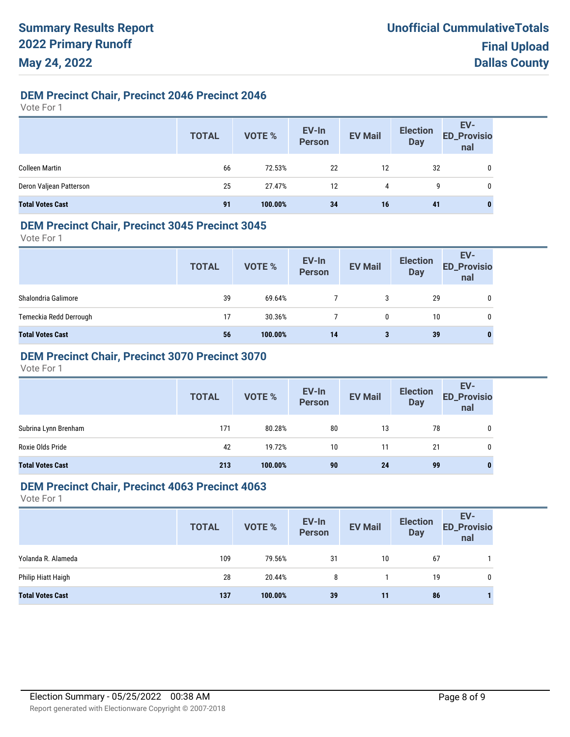# **DEM Precinct Chair, Precinct 2046 Precinct 2046**

Vote For 1

|                         | <b>TOTAL</b> | VOTE %  | EV-In<br>Person | <b>EV Mail</b> | <b>Election</b><br><b>Day</b> | EV-<br>ED_Provisio<br>nal |
|-------------------------|--------------|---------|-----------------|----------------|-------------------------------|---------------------------|
| <b>Colleen Martin</b>   | 66           | 72.53%  | 22              | 12             | 32                            | 0                         |
| Deron Valjean Patterson | 25           | 27.47%  | 12              | 4              | g                             | 0                         |
| <b>Total Votes Cast</b> | 91           | 100.00% | 34              | 16             | 41                            | 0                         |

#### **DEM Precinct Chair, Precinct 3045 Precinct 3045**

Vote For 1

|                         | <b>TOTAL</b> | VOTE %  | EV-In<br>Person | <b>EV Mail</b> | <b>Election</b><br><b>Day</b> | EV-<br><b>ED_Provisio</b><br>nal |
|-------------------------|--------------|---------|-----------------|----------------|-------------------------------|----------------------------------|
| Shalondria Galimore     | 39           | 69.64%  |                 | 3              | 29                            | 0                                |
| Temeckia Redd Derrough  | 17           | 30.36%  |                 | 0              | 10                            | 0                                |
| <b>Total Votes Cast</b> | 56           | 100.00% | 14              | 3              | 39                            |                                  |

# **DEM Precinct Chair, Precinct 3070 Precinct 3070**

Vote For 1

|                         | <b>TOTAL</b> | VOTE %  | EV-In<br>Person | <b>EV Mail</b> | <b>Election</b><br><b>Day</b> | EV-<br>ED_Provisio<br>nal |
|-------------------------|--------------|---------|-----------------|----------------|-------------------------------|---------------------------|
| Subrina Lynn Brenham    | 171          | 80.28%  | 80              | 13             | 78                            |                           |
| Roxie Olds Pride        | 42           | 19.72%  | 10              | 11             | 21                            | 0                         |
| <b>Total Votes Cast</b> | 213          | 100.00% | 90              | 24             | 99                            |                           |

#### **DEM Precinct Chair, Precinct 4063 Precinct 4063**

|                         | <b>TOTAL</b> | <b>VOTE %</b> | EV-In<br>Person | <b>EV Mail</b> | <b>Election</b><br><b>Day</b> | EV-<br><b>ED_Provisio</b><br>nal |
|-------------------------|--------------|---------------|-----------------|----------------|-------------------------------|----------------------------------|
| Yolanda R. Alameda      | 109          | 79.56%        | 31              | 10             | 67                            |                                  |
| Philip Hiatt Haigh      | 28           | 20.44%        | 8               |                | 19                            | 0                                |
| <b>Total Votes Cast</b> | 137          | 100.00%       | 39              | 11             | 86                            |                                  |